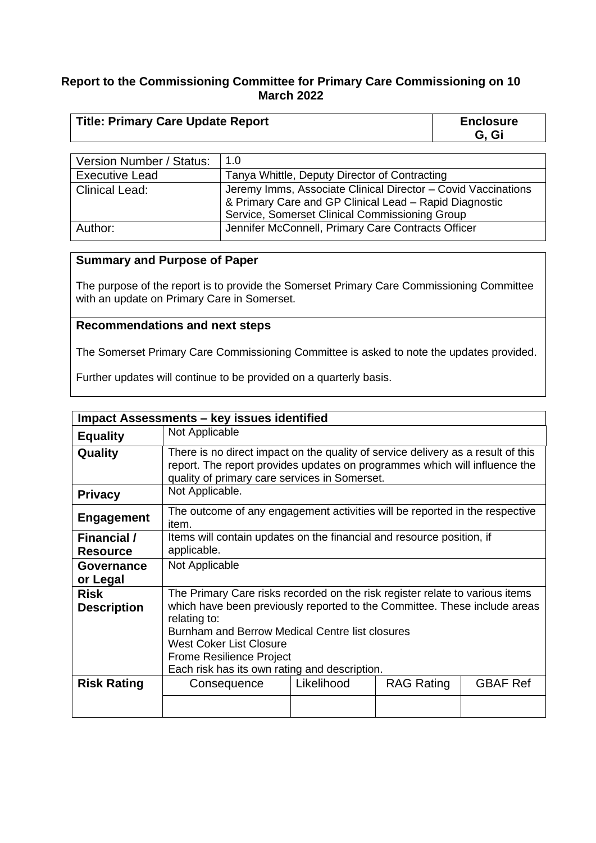#### **Report to the Commissioning Committee for Primary Care Commissioning on 10 March 2022**

| <b>Title: Primary Care Update Report</b> | <b>Enclosure</b> |
|------------------------------------------|------------------|
|                                          | G. Gi            |

| Version Number / Status: | 1.0                                                                                                                                                                       |
|--------------------------|---------------------------------------------------------------------------------------------------------------------------------------------------------------------------|
| <b>Executive Lead</b>    | Tanya Whittle, Deputy Director of Contracting                                                                                                                             |
| <b>Clinical Lead:</b>    | Jeremy Imms, Associate Clinical Director - Covid Vaccinations<br>& Primary Care and GP Clinical Lead - Rapid Diagnostic<br>Service, Somerset Clinical Commissioning Group |
| Author:                  | Jennifer McConnell, Primary Care Contracts Officer                                                                                                                        |

#### **Summary and Purpose of Paper**

The purpose of the report is to provide the Somerset Primary Care Commissioning Committee with an update on Primary Care in Somerset.

## **Recommendations and next steps**

The Somerset Primary Care Commissioning Committee is asked to note the updates provided.

Further updates will continue to be provided on a quarterly basis.

|                                   | <b>Impact Assessments - key issues identified</b>                                                                                                                                                                                                                                                                                                  |            |                   |                 |  |  |
|-----------------------------------|----------------------------------------------------------------------------------------------------------------------------------------------------------------------------------------------------------------------------------------------------------------------------------------------------------------------------------------------------|------------|-------------------|-----------------|--|--|
| <b>Equality</b>                   | Not Applicable                                                                                                                                                                                                                                                                                                                                     |            |                   |                 |  |  |
| Quality                           | There is no direct impact on the quality of service delivery as a result of this<br>report. The report provides updates on programmes which will influence the<br>quality of primary care services in Somerset.                                                                                                                                    |            |                   |                 |  |  |
| <b>Privacy</b>                    | Not Applicable.                                                                                                                                                                                                                                                                                                                                    |            |                   |                 |  |  |
| <b>Engagement</b>                 | The outcome of any engagement activities will be reported in the respective<br>item.                                                                                                                                                                                                                                                               |            |                   |                 |  |  |
| <b>Financial</b> /                | Items will contain updates on the financial and resource position, if                                                                                                                                                                                                                                                                              |            |                   |                 |  |  |
| <b>Resource</b>                   | applicable.                                                                                                                                                                                                                                                                                                                                        |            |                   |                 |  |  |
| Governance<br>or Legal            | Not Applicable                                                                                                                                                                                                                                                                                                                                     |            |                   |                 |  |  |
| <b>Risk</b><br><b>Description</b> | The Primary Care risks recorded on the risk register relate to various items<br>which have been previously reported to the Committee. These include areas<br>relating to:<br>Burnham and Berrow Medical Centre list closures<br><b>West Coker List Closure</b><br><b>Frome Resilience Project</b><br>Each risk has its own rating and description. |            |                   |                 |  |  |
| <b>Risk Rating</b>                | Consequence                                                                                                                                                                                                                                                                                                                                        | Likelihood | <b>RAG Rating</b> | <b>GBAF Ref</b> |  |  |
|                                   |                                                                                                                                                                                                                                                                                                                                                    |            |                   |                 |  |  |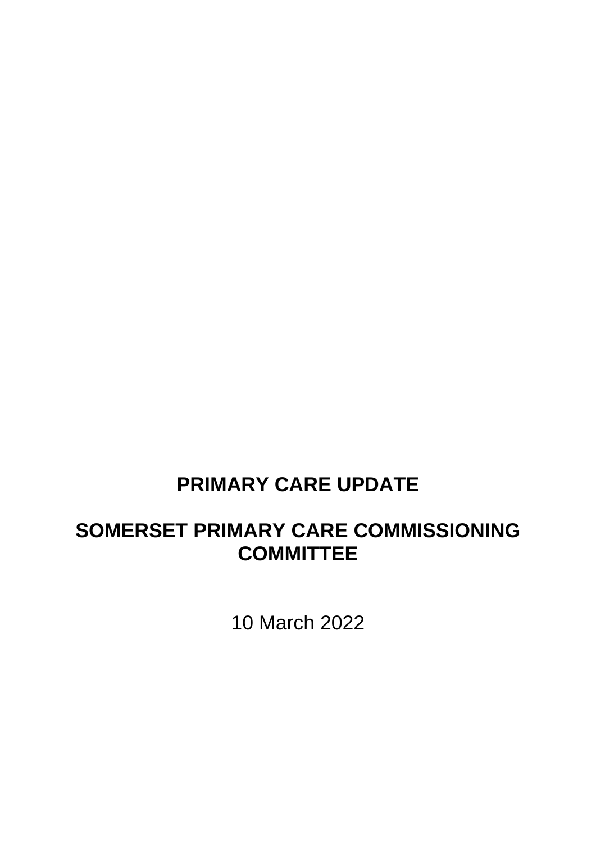# **PRIMARY CARE UPDATE**

# **SOMERSET PRIMARY CARE COMMISSIONING COMMITTEE**

10 March 2022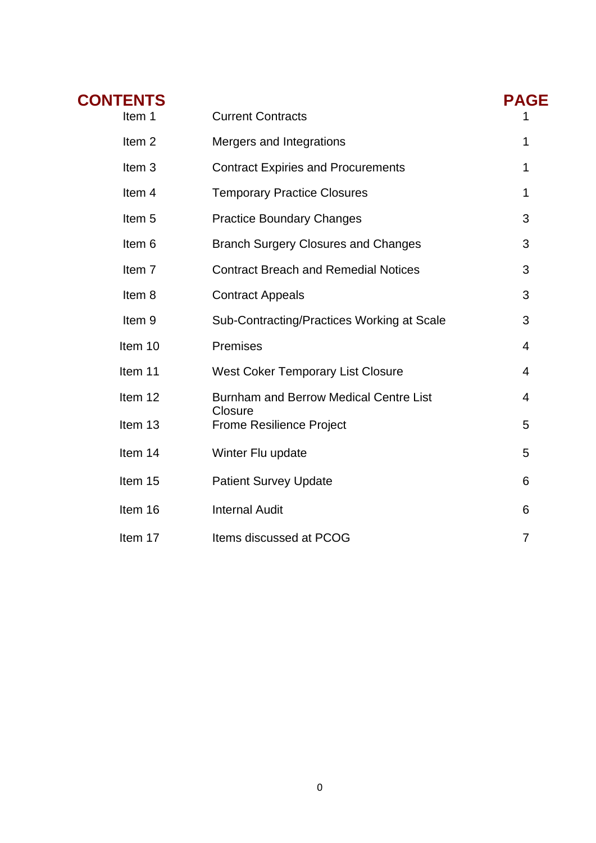| <b>CONTENTS</b>   |                                                          | <b>PAGE</b>    |
|-------------------|----------------------------------------------------------|----------------|
| Item 1            | <b>Current Contracts</b>                                 |                |
| Item <sub>2</sub> | Mergers and Integrations                                 | 1              |
| Item <sub>3</sub> | <b>Contract Expiries and Procurements</b>                | 1              |
| Item 4            | <b>Temporary Practice Closures</b>                       | 1              |
| Item <sub>5</sub> | <b>Practice Boundary Changes</b>                         | 3              |
| Item <sub>6</sub> | <b>Branch Surgery Closures and Changes</b>               | 3              |
| Item <sub>7</sub> | <b>Contract Breach and Remedial Notices</b>              | 3              |
| Item 8            | <b>Contract Appeals</b>                                  | 3              |
| Item 9            | Sub-Contracting/Practices Working at Scale               | 3              |
| Item 10           | Premises                                                 | 4              |
| Item 11           | <b>West Coker Temporary List Closure</b>                 | 4              |
| Item 12           | <b>Burnham and Berrow Medical Centre List</b><br>Closure | 4              |
| Item 13           | <b>Frome Resilience Project</b>                          | 5              |
| Item 14           | Winter Flu update                                        | 5              |
| Item 15           | <b>Patient Survey Update</b>                             | 6              |
| Item 16           | <b>Internal Audit</b>                                    | 6              |
| Item 17           | Items discussed at PCOG                                  | $\overline{7}$ |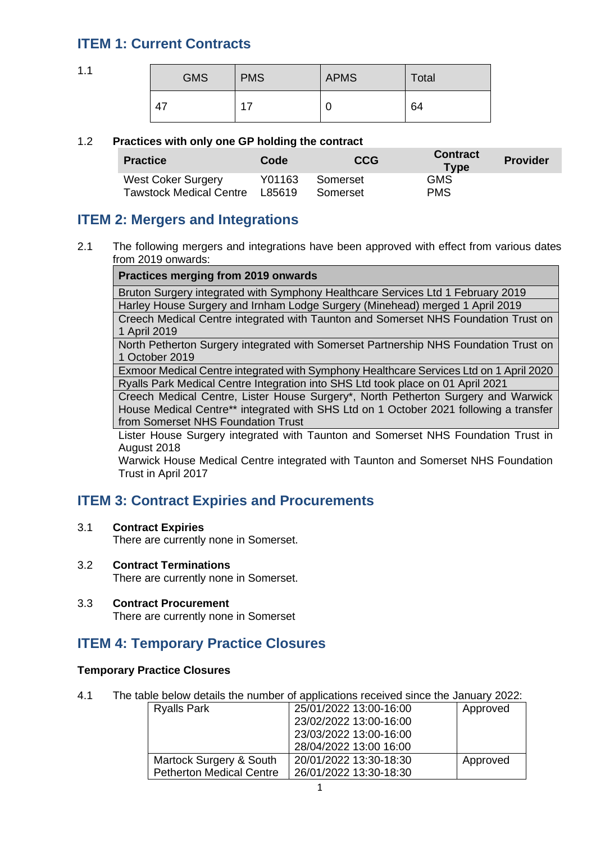# **ITEM 1: Current Contracts**

#### 1.1

| <b>GMS</b> | <b>PMS</b> | <b>APMS</b> | Total |
|------------|------------|-------------|-------|
| 47         | 17         |             | 64    |

#### 1.2 **Practices with only one GP holding the contract**

| <b>Practice</b>                | Code   | CCG      | <b>Contract</b><br><b>Type</b> | <b>Provider</b> |
|--------------------------------|--------|----------|--------------------------------|-----------------|
| West Coker Surgery             | Y01163 | Somerset | <b>GMS</b>                     |                 |
| <b>Tawstock Medical Centre</b> | L85619 | Somerset | <b>PMS</b>                     |                 |

## **ITEM 2: Mergers and Integrations**

2.1 The following mergers and integrations have been approved with effect from various dates from 2019 onwards:

**Practices merging from 2019 onwards**

Bruton Surgery integrated with Symphony Healthcare Services Ltd 1 February 2019 Harley House Surgery and Irnham Lodge Surgery (Minehead) merged 1 April 2019 Creech Medical Centre integrated with Taunton and Somerset NHS Foundation Trust on

1 April 2019

North Petherton Surgery integrated with Somerset Partnership NHS Foundation Trust on 1 October 2019

Exmoor Medical Centre integrated with Symphony Healthcare Services Ltd on 1 April 2020 Ryalls Park Medical Centre Integration into SHS Ltd took place on 01 April 2021

Creech Medical Centre, Lister House Surgery\*, North Petherton Surgery and Warwick House Medical Centre\*\* integrated with SHS Ltd on 1 October 2021 following a transfer from Somerset NHS Foundation Trust

Lister House Surgery integrated with Taunton and Somerset NHS Foundation Trust in August 2018

Warwick House Medical Centre integrated with Taunton and Somerset NHS Foundation Trust in April 2017

## **ITEM 3: Contract Expiries and Procurements**

3.1 **Contract Expiries**

There are currently none in Somerset.

- 3.2 **Contract Terminations**  There are currently none in Somerset.
- 3.3 **Contract Procurement**  There are currently none in Somerset

# **ITEM 4: Temporary Practice Closures**

#### **Temporary Practice Closures**

| 4.1 | The table below details the number of applications received since the January 2022: |  |  |                            |  |  |                                                |
|-----|-------------------------------------------------------------------------------------|--|--|----------------------------|--|--|------------------------------------------------|
|     | .                                                                                   |  |  | 0.55/0.4/0.000.40.00.40.00 |  |  | $\mathbf{A}$ and $\mathbf{A}$ and $\mathbf{A}$ |

| <b>Ryalls Park</b>              | 25/01/2022 13:00-16:00 | Approved |
|---------------------------------|------------------------|----------|
|                                 | 23/02/2022 13:00-16:00 |          |
|                                 | 23/03/2022 13:00-16:00 |          |
|                                 | 28/04/2022 13:00 16:00 |          |
| Martock Surgery & South         | 20/01/2022 13:30-18:30 | Approved |
| <b>Petherton Medical Centre</b> | 26/01/2022 13:30-18:30 |          |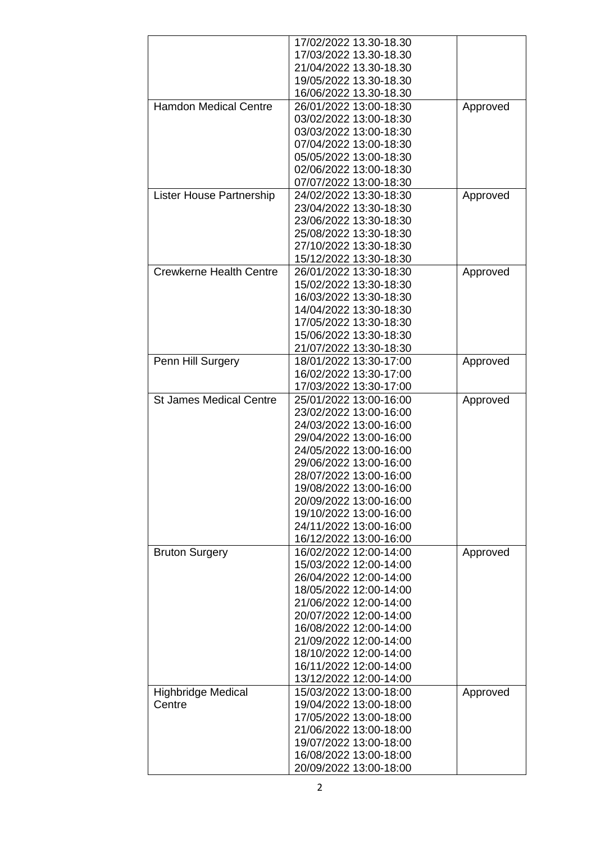|                                 | 17/02/2022 13.30-18.30 |          |
|---------------------------------|------------------------|----------|
|                                 | 17/03/2022 13.30-18.30 |          |
|                                 | 21/04/2022 13.30-18.30 |          |
|                                 | 19/05/2022 13.30-18.30 |          |
|                                 | 16/06/2022 13.30-18.30 |          |
| <b>Hamdon Medical Centre</b>    | 26/01/2022 13:00-18:30 | Approved |
|                                 | 03/02/2022 13:00-18:30 |          |
|                                 | 03/03/2022 13:00-18:30 |          |
|                                 | 07/04/2022 13:00-18:30 |          |
|                                 | 05/05/2022 13:00-18:30 |          |
|                                 | 02/06/2022 13:00-18:30 |          |
|                                 | 07/07/2022 13:00-18:30 |          |
| <b>Lister House Partnership</b> | 24/02/2022 13:30-18:30 | Approved |
|                                 | 23/04/2022 13:30-18:30 |          |
|                                 | 23/06/2022 13:30-18:30 |          |
|                                 | 25/08/2022 13:30-18:30 |          |
|                                 | 27/10/2022 13:30-18:30 |          |
|                                 | 15/12/2022 13:30-18:30 |          |
| <b>Crewkerne Health Centre</b>  | 26/01/2022 13:30-18:30 | Approved |
|                                 | 15/02/2022 13:30-18:30 |          |
|                                 | 16/03/2022 13:30-18:30 |          |
|                                 | 14/04/2022 13:30-18:30 |          |
|                                 | 17/05/2022 13:30-18:30 |          |
|                                 | 15/06/2022 13:30-18:30 |          |
|                                 | 21/07/2022 13:30-18:30 |          |
| Penn Hill Surgery               | 18/01/2022 13:30-17:00 | Approved |
|                                 | 16/02/2022 13:30-17:00 |          |
|                                 | 17/03/2022 13:30-17:00 |          |
| <b>St James Medical Centre</b>  | 25/01/2022 13:00-16:00 | Approved |
|                                 | 23/02/2022 13:00-16:00 |          |
|                                 | 24/03/2022 13:00-16:00 |          |
|                                 | 29/04/2022 13:00-16:00 |          |
|                                 | 24/05/2022 13:00-16:00 |          |
|                                 | 29/06/2022 13:00-16:00 |          |
|                                 | 28/07/2022 13:00-16:00 |          |
|                                 | 19/08/2022 13:00-16:00 |          |
|                                 | 20/09/2022 13:00-16:00 |          |
|                                 | 19/10/2022 13:00-16:00 |          |
|                                 | 24/11/2022 13:00-16:00 |          |
|                                 | 16/12/2022 13:00-16:00 |          |
| <b>Bruton Surgery</b>           | 16/02/2022 12:00-14:00 | Approved |
|                                 | 15/03/2022 12:00-14:00 |          |
|                                 | 26/04/2022 12:00-14:00 |          |
|                                 | 18/05/2022 12:00-14:00 |          |
|                                 | 21/06/2022 12:00-14:00 |          |
|                                 | 20/07/2022 12:00-14:00 |          |
|                                 | 16/08/2022 12:00-14:00 |          |
|                                 | 21/09/2022 12:00-14:00 |          |
|                                 | 18/10/2022 12:00-14:00 |          |
|                                 | 16/11/2022 12:00-14:00 |          |
|                                 | 13/12/2022 12:00-14:00 |          |
| <b>Highbridge Medical</b>       | 15/03/2022 13:00-18:00 | Approved |
| Centre                          | 19/04/2022 13:00-18:00 |          |
|                                 | 17/05/2022 13:00-18:00 |          |
|                                 | 21/06/2022 13:00-18:00 |          |
|                                 | 19/07/2022 13:00-18:00 |          |
|                                 | 16/08/2022 13:00-18:00 |          |
|                                 | 20/09/2022 13:00-18:00 |          |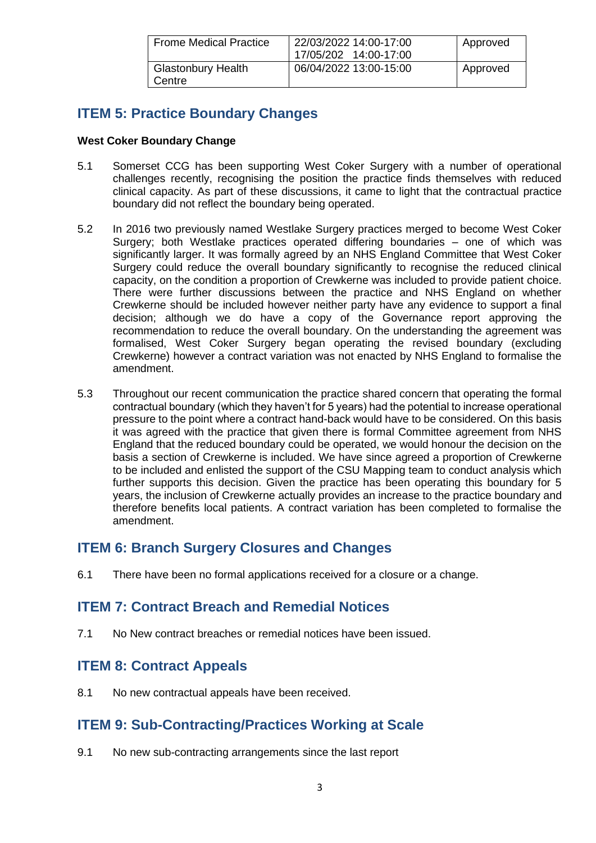| <b>Frome Medical Practice</b>       | 22/03/2022 14:00-17:00<br>17/05/202 14:00-17:00 | Approved |
|-------------------------------------|-------------------------------------------------|----------|
| <b>Glastonbury Health</b><br>Centre | 06/04/2022 13:00-15:00                          | Approved |

# **ITEM 5: Practice Boundary Changes**

#### **West Coker Boundary Change**

- 5.1 Somerset CCG has been supporting West Coker Surgery with a number of operational challenges recently, recognising the position the practice finds themselves with reduced clinical capacity. As part of these discussions, it came to light that the contractual practice boundary did not reflect the boundary being operated.
- 5.2 In 2016 two previously named Westlake Surgery practices merged to become West Coker Surgery; both Westlake practices operated differing boundaries – one of which was significantly larger. It was formally agreed by an NHS England Committee that West Coker Surgery could reduce the overall boundary significantly to recognise the reduced clinical capacity, on the condition a proportion of Crewkerne was included to provide patient choice. There were further discussions between the practice and NHS England on whether Crewkerne should be included however neither party have any evidence to support a final decision; although we do have a copy of the Governance report approving the recommendation to reduce the overall boundary. On the understanding the agreement was formalised, West Coker Surgery began operating the revised boundary (excluding Crewkerne) however a contract variation was not enacted by NHS England to formalise the amendment.
- 5.3 Throughout our recent communication the practice shared concern that operating the formal contractual boundary (which they haven't for 5 years) had the potential to increase operational pressure to the point where a contract hand-back would have to be considered. On this basis it was agreed with the practice that given there is formal Committee agreement from NHS England that the reduced boundary could be operated, we would honour the decision on the basis a section of Crewkerne is included. We have since agreed a proportion of Crewkerne to be included and enlisted the support of the CSU Mapping team to conduct analysis which further supports this decision. Given the practice has been operating this boundary for 5 years, the inclusion of Crewkerne actually provides an increase to the practice boundary and therefore benefits local patients. A contract variation has been completed to formalise the amendment.

## **ITEM 6: Branch Surgery Closures and Changes**

6.1 There have been no formal applications received for a closure or a change.

## **ITEM 7: Contract Breach and Remedial Notices**

7.1 No New contract breaches or remedial notices have been issued.

# **ITEM 8: Contract Appeals**

8.1 No new contractual appeals have been received.

## **ITEM 9: Sub-Contracting/Practices Working at Scale**

9.1 No new sub-contracting arrangements since the last report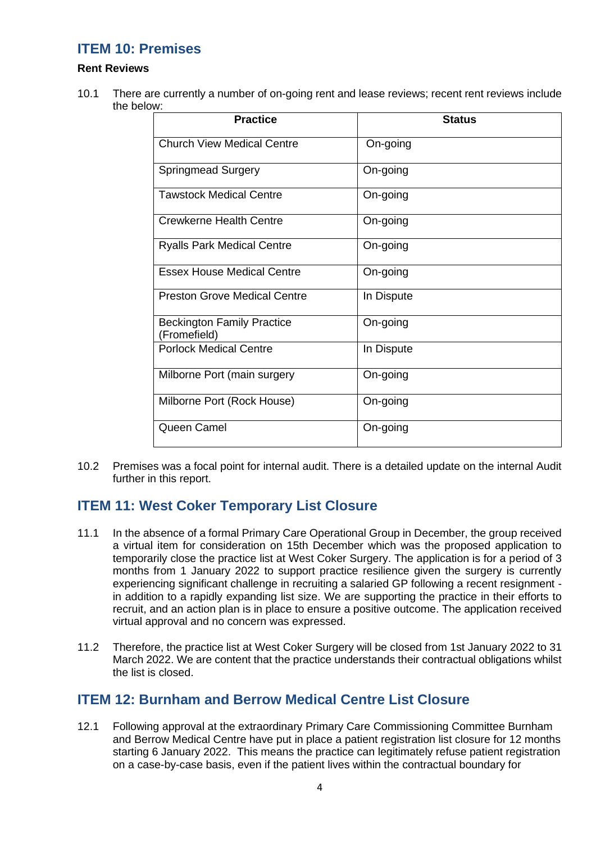# **ITEM 10: Premises**

#### **Rent Reviews**

10.1 There are currently a number of on-going rent and lease reviews; recent rent reviews include the below:

| <b>Practice</b>                                   | <b>Status</b> |
|---------------------------------------------------|---------------|
| <b>Church View Medical Centre</b>                 | On-going      |
| <b>Springmead Surgery</b>                         | On-going      |
| <b>Tawstock Medical Centre</b>                    | On-going      |
| Crewkerne Health Centre                           | On-going      |
| <b>Ryalls Park Medical Centre</b>                 | On-going      |
| <b>Essex House Medical Centre</b>                 | On-going      |
| <b>Preston Grove Medical Centre</b>               | In Dispute    |
| <b>Beckington Family Practice</b><br>(Fromefield) | On-going      |
| <b>Porlock Medical Centre</b>                     | In Dispute    |
| Milborne Port (main surgery                       | On-going      |
| Milborne Port (Rock House)                        | On-going      |
| Queen Camel                                       | On-going      |

10.2 Premises was a focal point for internal audit. There is a detailed update on the internal Audit further in this report.

# **ITEM 11: West Coker Temporary List Closure**

- 11.1 In the absence of a formal Primary Care Operational Group in December, the group received a virtual item for consideration on 15th December which was the proposed application to temporarily close the practice list at West Coker Surgery. The application is for a period of 3 months from 1 January 2022 to support practice resilience given the surgery is currently experiencing significant challenge in recruiting a salaried GP following a recent resignment in addition to a rapidly expanding list size. We are supporting the practice in their efforts to recruit, and an action plan is in place to ensure a positive outcome. The application received virtual approval and no concern was expressed.
- 11.2 Therefore, the practice list at West Coker Surgery will be closed from 1st January 2022 to 31 March 2022. We are content that the practice understands their contractual obligations whilst the list is closed.

## **ITEM 12: Burnham and Berrow Medical Centre List Closure**

12.1 Following approval at the extraordinary Primary Care Commissioning Committee Burnham and Berrow Medical Centre have put in place a patient registration list closure for 12 months starting 6 January 2022. This means the practice can legitimately refuse patient registration on a case-by-case basis, even if the patient lives within the contractual boundary for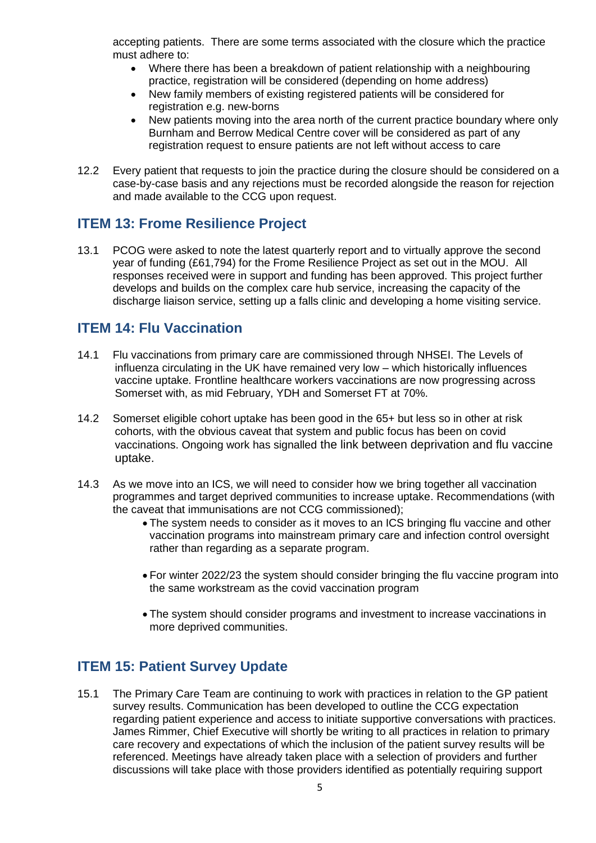accepting patients. There are some terms associated with the closure which the practice must adhere to:

- Where there has been a breakdown of patient relationship with a neighbouring practice, registration will be considered (depending on home address)
- New family members of existing registered patients will be considered for registration e.g. new-borns
- New patients moving into the area north of the current practice boundary where only Burnham and Berrow Medical Centre cover will be considered as part of any registration request to ensure patients are not left without access to care
- 12.2 Every patient that requests to join the practice during the closure should be considered on a case-by-case basis and any rejections must be recorded alongside the reason for rejection and made available to the CCG upon request.

# **ITEM 13: Frome Resilience Project**

13.1 PCOG were asked to note the latest quarterly report and to virtually approve the second year of funding (£61,794) for the Frome Resilience Project as set out in the MOU. All responses received were in support and funding has been approved. This project further develops and builds on the complex care hub service, increasing the capacity of the discharge liaison service, setting up a falls clinic and developing a home visiting service.

## **ITEM 14: Flu Vaccination**

- 14.1 Flu vaccinations from primary care are commissioned through NHSEI. The Levels of influenza circulating in the UK have remained very low – which historically influences vaccine uptake. Frontline healthcare workers vaccinations are now progressing across Somerset with, as mid February, YDH and Somerset FT at 70%.
- 14.2 Somerset eligible cohort uptake has been good in the 65+ but less so in other at risk cohorts, with the obvious caveat that system and public focus has been on covid vaccinations. Ongoing work has signalled the link between deprivation and flu vaccine uptake.
- 14.3 As we move into an ICS, we will need to consider how we bring together all vaccination programmes and target deprived communities to increase uptake. Recommendations (with the caveat that immunisations are not CCG commissioned);
	- The system needs to consider as it moves to an ICS bringing flu vaccine and other vaccination programs into mainstream primary care and infection control oversight rather than regarding as a separate program.
	- For winter 2022/23 the system should consider bringing the flu vaccine program into the same workstream as the covid vaccination program
	- The system should consider programs and investment to increase vaccinations in more deprived communities.

# **ITEM 15: Patient Survey Update**

15.1 The Primary Care Team are continuing to work with practices in relation to the GP patient survey results. Communication has been developed to outline the CCG expectation regarding patient experience and access to initiate supportive conversations with practices. James Rimmer, Chief Executive will shortly be writing to all practices in relation to primary care recovery and expectations of which the inclusion of the patient survey results will be referenced. Meetings have already taken place with a selection of providers and further discussions will take place with those providers identified as potentially requiring support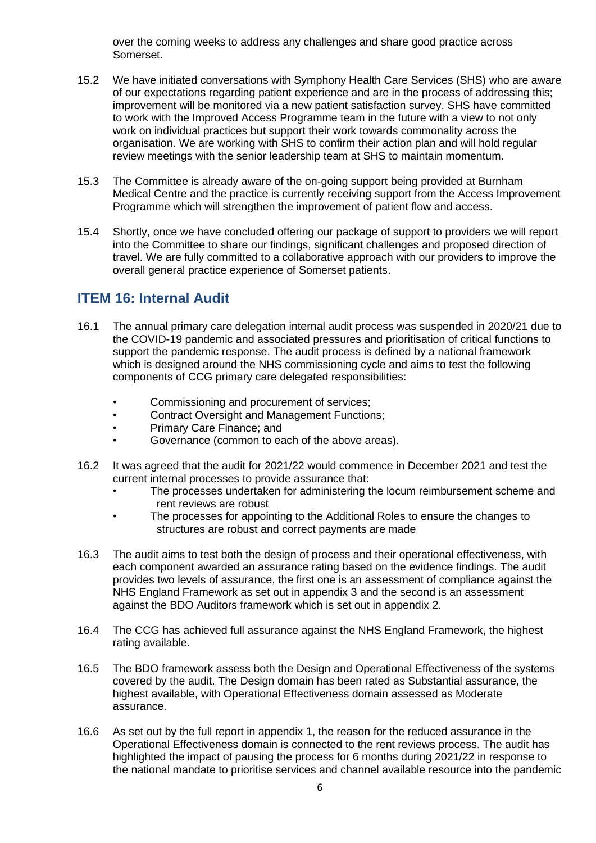over the coming weeks to address any challenges and share good practice across Somerset.

- 15.2 We have initiated conversations with Symphony Health Care Services (SHS) who are aware of our expectations regarding patient experience and are in the process of addressing this; improvement will be monitored via a new patient satisfaction survey. SHS have committed to work with the Improved Access Programme team in the future with a view to not only work on individual practices but support their work towards commonality across the organisation. We are working with SHS to confirm their action plan and will hold regular review meetings with the senior leadership team at SHS to maintain momentum.
- 15.3 The Committee is already aware of the on-going support being provided at Burnham Medical Centre and the practice is currently receiving support from the Access Improvement Programme which will strengthen the improvement of patient flow and access.
- 15.4 Shortly, once we have concluded offering our package of support to providers we will report into the Committee to share our findings, significant challenges and proposed direction of travel. We are fully committed to a collaborative approach with our providers to improve the overall general practice experience of Somerset patients.

#### **ITEM 16: Internal Audit**

- 16.1 The annual primary care delegation internal audit process was suspended in 2020/21 due to the COVID-19 pandemic and associated pressures and prioritisation of critical functions to support the pandemic response. The audit process is defined by a national framework which is designed around the NHS commissioning cycle and aims to test the following components of CCG primary care delegated responsibilities:
	- Commissioning and procurement of services;
	- Contract Oversight and Management Functions;
	- Primary Care Finance; and
	- Governance (common to each of the above areas).
- 16.2 It was agreed that the audit for 2021/22 would commence in December 2021 and test the current internal processes to provide assurance that:
	- The processes undertaken for administering the locum reimbursement scheme and rent reviews are robust
	- The processes for appointing to the Additional Roles to ensure the changes to structures are robust and correct payments are made
- 16.3 The audit aims to test both the design of process and their operational effectiveness, with each component awarded an assurance rating based on the evidence findings. The audit provides two levels of assurance, the first one is an assessment of compliance against the NHS England Framework as set out in appendix 3 and the second is an assessment against the BDO Auditors framework which is set out in appendix 2.
- 16.4 The CCG has achieved full assurance against the NHS England Framework, the highest rating available.
- 16.5 The BDO framework assess both the Design and Operational Effectiveness of the systems covered by the audit. The Design domain has been rated as Substantial assurance, the highest available, with Operational Effectiveness domain assessed as Moderate assurance.
- 16.6 As set out by the full report in appendix 1, the reason for the reduced assurance in the Operational Effectiveness domain is connected to the rent reviews process. The audit has highlighted the impact of pausing the process for 6 months during 2021/22 in response to the national mandate to prioritise services and channel available resource into the pandemic